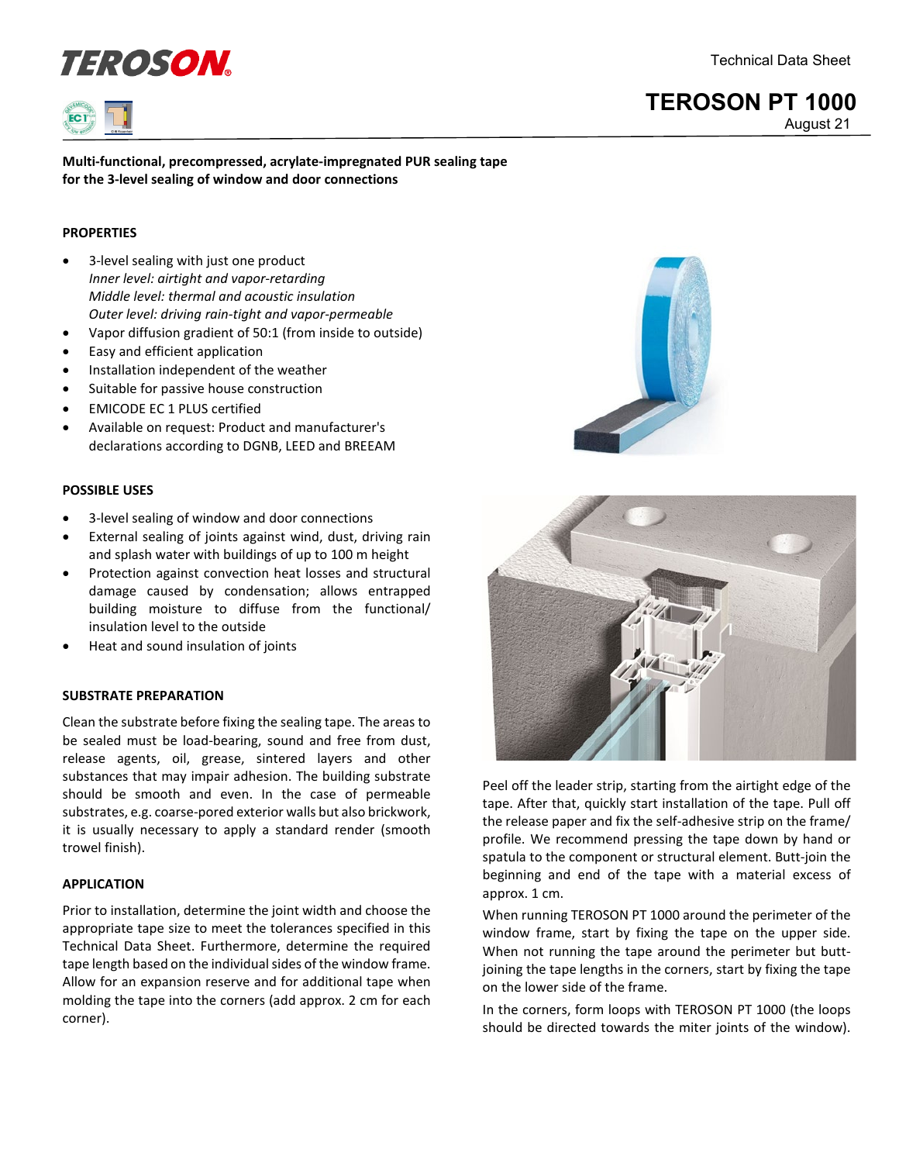Technical Data Sheet





## **TEROSON PT 1000** August 21

**Multi-functional, precompressed, acrylate-impregnated PUR sealing tape for the 3-level sealing of window and door connections**

### **PROPERTIES**

- 3-level sealing with just one product *Inner level: airtight and vapor-retarding Middle level: thermal and acoustic insulation Outer level: driving rain-tight and vapor-permeable*
- Vapor diffusion gradient of 50:1 (from inside to outside)
- Easy and efficient application
- Installation independent of the weather
- Suitable for passive house construction
- EMICODE EC 1 PLUS certified
- Available on request: Product and manufacturer's declarations according to DGNB, LEED and BREEAM

#### **POSSIBLE USES**

- 3-level sealing of window and door connections
- External sealing of joints against wind, dust, driving rain and splash water with buildings of up to 100 m height
- Protection against convection heat losses and structural damage caused by condensation; allows entrapped building moisture to diffuse from the functional/ insulation level to the outside
- Heat and sound insulation of joints

#### **SUBSTRATE PREPARATION**

Clean the substrate before fixing the sealing tape. The areas to be sealed must be load-bearing, sound and free from dust, release agents, oil, grease, sintered layers and other substances that may impair adhesion. The building substrate should be smooth and even. In the case of permeable substrates, e.g. coarse-pored exterior walls but also brickwork, it is usually necessary to apply a standard render (smooth trowel finish).

#### **APPLICATION**

Prior to installation, determine the joint width and choose the appropriate tape size to meet the tolerances specified in this Technical Data Sheet. Furthermore, determine the required tape length based on the individual sides of the window frame. Allow for an expansion reserve and for additional tape when molding the tape into the corners (add approx. 2 cm for each corner).





Peel off the leader strip, starting from the airtight edge of the tape. After that, quickly start installation of the tape. Pull off the release paper and fix the self-adhesive strip on the frame/ profile. We recommend pressing the tape down by hand or spatula to the component or structural element. Butt-join the beginning and end of the tape with a material excess of approx. 1 cm.

When running TEROSON PT 1000 around the perimeter of the window frame, start by fixing the tape on the upper side. When not running the tape around the perimeter but buttjoining the tape lengths in the corners, start by fixing the tape on the lower side of the frame.

In the corners, form loops with TEROSON PT 1000 (the loops should be directed towards the miter joints of the window).